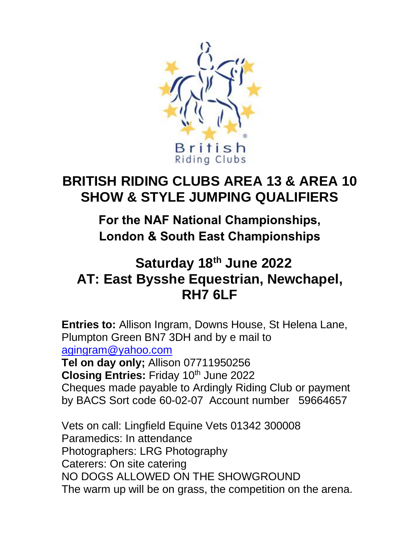

# **BRITISH RIDING CLUBS AREA 13 & AREA 10 SHOW & STYLE JUMPING QUALIFIERS**

**For the NAF National Championships, London & South East Championships** 

## **Saturday 18 th June 2022 AT: East Bysshe Equestrian, Newchapel, RH7 6LF**

**Entries to:** Allison Ingram, Downs House, St Helena Lane, Plumpton Green BN7 3DH and by e mail to [agingram@yahoo.com](mailto:agingram@yahoo.com) **Tel on day only;** Allison 07711950256 **Closing Entries: Friday 10th June 2022** Cheques made payable to Ardingly Riding Club or payment by BACS Sort code 60-02-07 Account number 59664657

Vets on call: Lingfield Equine Vets 01342 300008 Paramedics: In attendance Photographers: LRG Photography Caterers: On site catering NO DOGS ALLOWED ON THE SHOWGROUND The warm up will be on grass, the competition on the arena.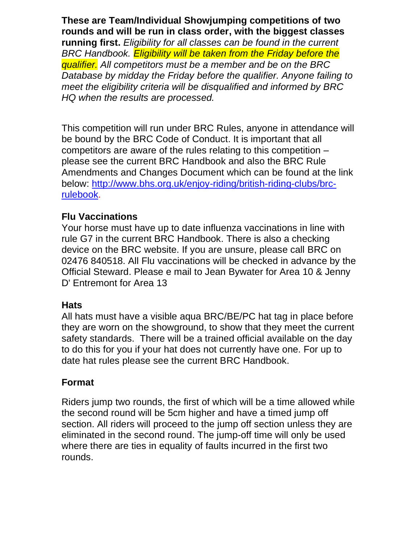**These are Team/Individual Showjumping competitions of two rounds and will be run in class order, with the biggest classes running first.** *Eligibility for all classes can be found in the current BRC Handbook. Eligibility will be taken from the Friday before the qualifier. All competitors must be a member and be on the BRC Database by midday the Friday before the qualifier. Anyone failing to meet the eligibility criteria will be disqualified and informed by BRC HQ when the results are processed.*

This competition will run under BRC Rules, anyone in attendance will be bound by the BRC Code of Conduct. It is important that all competitors are aware of the rules relating to this competition – please see the current BRC Handbook and also the BRC Rule Amendments and Changes Document which can be found at the link below: [http://www.bhs.org.uk/enjoy-riding/british-riding-clubs/brc](http://www.bhs.org.uk/enjoy-riding/british-riding-clubs/brc-rulebook)[rulebook.](http://www.bhs.org.uk/enjoy-riding/british-riding-clubs/brc-rulebook)

#### **Flu Vaccinations**

Your horse must have up to date influenza vaccinations in line with rule G7 in the current BRC Handbook. There is also a checking device on the BRC website. If you are unsure, please call BRC on 02476 840518. All Flu vaccinations will be checked in advance by the Official Steward. Please e mail to Jean Bywater for Area 10 & Jenny D' Entremont for Area 13

#### **Hats**

All hats must have a visible aqua BRC/BE/PC hat tag in place before they are worn on the showground, to show that they meet the current safety standards. There will be a trained official available on the day to do this for you if your hat does not currently have one. For up to date hat rules please see the current BRC Handbook.

#### **Format**

Riders jump two rounds, the first of which will be a time allowed while the second round will be 5cm higher and have a timed jump off section. All riders will proceed to the jump off section unless they are eliminated in the second round. The jump-off time will only be used where there are ties in equality of faults incurred in the first two rounds.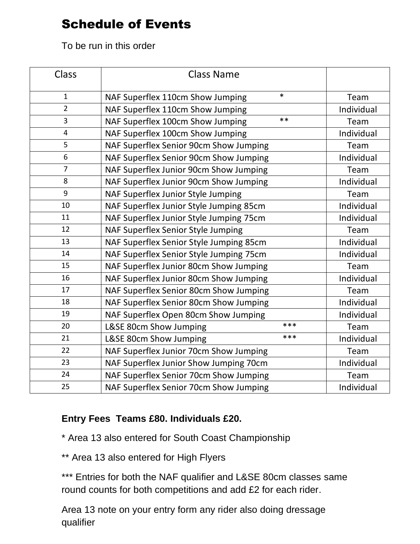### Schedule of Events

To be run in this order

| Class          | <b>Class Name</b>                          |            |
|----------------|--------------------------------------------|------------|
| $\mathbf{1}$   | $\ast$<br>NAF Superflex 110cm Show Jumping | Team       |
| $\overline{2}$ | NAF Superflex 110cm Show Jumping           | Individual |
| $\overline{3}$ | $***$<br>NAF Superflex 100cm Show Jumping  | Team       |
| $\overline{4}$ | NAF Superflex 100cm Show Jumping           | Individual |
| 5              | NAF Superflex Senior 90cm Show Jumping     | Team       |
| 6              | NAF Superflex Senior 90cm Show Jumping     | Individual |
| $\overline{7}$ | NAF Superflex Junior 90cm Show Jumping     | Team       |
| 8              | NAF Superflex Junior 90cm Show Jumping     | Individual |
| 9              | NAF Superflex Junior Style Jumping         | Team       |
| 10             | NAF Superflex Junior Style Jumping 85cm    | Individual |
| 11             | NAF Superflex Junior Style Jumping 75cm    | Individual |
| 12             | NAF Superflex Senior Style Jumping         | Team       |
| 13             | NAF Superflex Senior Style Jumping 85cm    | Individual |
| 14             | NAF Superflex Senior Style Jumping 75cm    | Individual |
| 15             | NAF Superflex Junior 80cm Show Jumping     | Team       |
| 16             | NAF Superflex Junior 80cm Show Jumping     | Individual |
| 17             | NAF Superflex Senior 80cm Show Jumping     | Team       |
| 18             | NAF Superflex Senior 80cm Show Jumping     | Individual |
| 19             | NAF Superflex Open 80cm Show Jumping       | Individual |
| 20             | ***<br>L&SE 80cm Show Jumping              | Team       |
| 21             | ***<br>L&SE 80cm Show Jumping              | Individual |
| 22             | NAF Superflex Junior 70cm Show Jumping     | Team       |
| 23             | NAF Superflex Junior Show Jumping 70cm     | Individual |
| 24             | NAF Superflex Senior 70cm Show Jumping     | Team       |
| 25             | NAF Superflex Senior 70cm Show Jumping     | Individual |

#### **Entry Fees Teams £80. Individuals £20.**

\* Area 13 also entered for South Coast Championship

\*\* Area 13 also entered for High Flyers

\*\*\* Entries for both the NAF qualifier and L&SE 80cm classes same round counts for both competitions and add £2 for each rider.

Area 13 note on your entry form any rider also doing dressage qualifier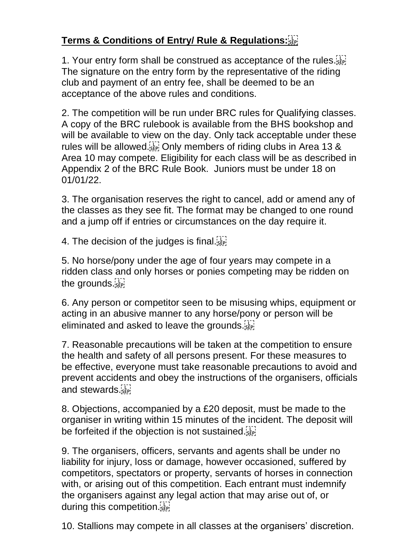### **Terms & Conditions of Entry/ Rule & Regulations:**

1. Your entry form shall be construed as acceptance of the rules. The signature on the entry form by the representative of the riding club and payment of an entry fee, shall be deemed to be an acceptance of the above rules and conditions.

2. The competition will be run under BRC rules for Qualifying classes. A copy of the BRC rulebook is available from the BHS bookshop and will be available to view on the day. Only tack acceptable under these rules will be allowed.<sup>[17]</sup> Only members of riding clubs in Area 13 & Area 10 may compete. Eligibility for each class will be as described in Appendix 2 of the BRC Rule Book. Juniors must be under 18 on 01/01/22.

3. The organisation reserves the right to cancel, add or amend any of the classes as they see fit. The format may be changed to one round and a jump off if entries or circumstances on the day require it.

4. The decision of the judges is final.

5. No horse/pony under the age of four years may compete in a ridden class and only horses or ponies competing may be ridden on the grounds.

6. Any person or competitor seen to be misusing whips, equipment or acting in an abusive manner to any horse/pony or person will be eliminated and asked to leave the grounds.

7. Reasonable precautions will be taken at the competition to ensure the health and safety of all persons present. For these measures to be effective, everyone must take reasonable precautions to avoid and prevent accidents and obey the instructions of the organisers, officials and stewards.

8. Objections, accompanied by a £20 deposit, must be made to the organiser in writing within 15 minutes of the incident. The deposit will be forfeited if the objection is not sustained.

9. The organisers, officers, servants and agents shall be under no liability for injury, loss or damage, however occasioned, suffered by competitors, spectators or property, servants of horses in connection with, or arising out of this competition. Each entrant must indemnify the organisers against any legal action that may arise out of, or during this competition.

10. Stallions may compete in all classes at the organisers' discretion.